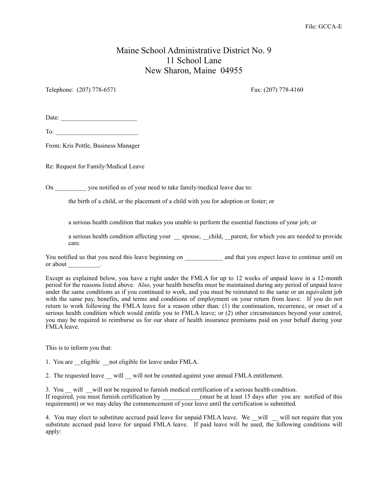## Maine School Administrative District No. 9 11 School Lane New Sharon, Maine 04955

Telephone: (207) 778-6571 Fax: (207) 778-4160

Date:

To:

From: Kris Pottle, Business Manager

Re: Request for Family/Medical Leave

On you notified us of your need to take family/medical leave due to:

the birth of a child, or the placement of a child with you for adoption or foster; or

a serious health condition that makes you unable to perform the essential functions of your job; or

a serious health condition affecting your \_\_ spouse, \_\_child, \_\_parent, for which you are needed to provide care.

You notified us that you need this leave beginning on and that you expect leave to continue until on or about the contract of  $\sim$ 

Except as explained below, you have a right under the FMLA for up to 12 weeks of unpaid leave in a 12-month period for the reasons listed above. Also, your health benefits must be maintained during any period of unpaid leave under the same conditions as if you continued to work, and you must be reinstated to the same or an equivalent job with the same pay, benefits, and terms and conditions of employment on your return from leave. If you do not return to work following the FMLA leave for a reason other than: (1) the continuation, recurrence, or onset of a serious health condition which would entitle you to FMLA leave; or (2) other circumstances beyond your control, you may be required to reimburse us for our share of health insurance premiums paid on your behalf during your FMLA leave.

This is to inform you that:

1. You are eligible not eligible for leave under FMLA.

2. The requested leave \_\_ will \_\_ will not be counted against your annual FMLA entitlement.

3. You will will not be required to furnish medical certification of a serious health condition. If required, you must furnish certification by \_\_\_\_\_\_\_\_\_\_(must be at least 15 days after you are notified of this requirement) or we may delay the commencement of your leave until the certification is submitted.

4. You may elect to substitute accrued paid leave for unpaid FMLA leave. We \_\_will \_\_\_will not require that you substitute accrued paid leave for unpaid FMLA leave. If paid leave will be used, the following conditions will apply: